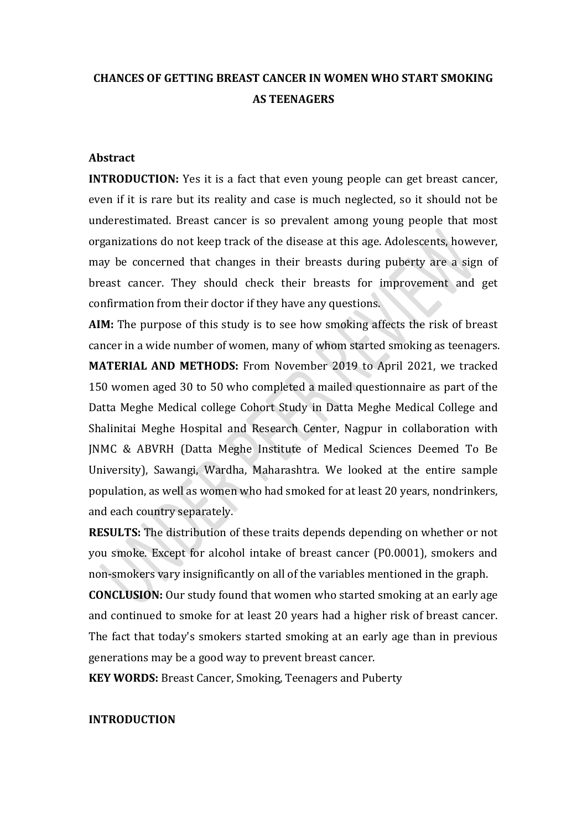# **CHANCES OF GETTING BREAST CANCER IN WOMEN WHO START SMOKING AS TEENAGERS**

#### **Abstract**

**INTRODUCTION:** Yes it is a fact that even young people can get breast cancer, even if it is rare but its reality and case is much neglected, so it should not be underestimated. Breast cancer is so prevalent among young people that most organizations do not keep track of the disease at this age. Adolescents, however, may be concerned that changes in their breasts during puberty are a sign of breast cancer. They should check their breasts for improvement and get confirmation from their doctor if they have any questions.

**AIM:** The purpose of this study is to see how smoking affects the risk of breast cancer in a wide number of women, many of whom started smoking as teenagers.

**MATERIAL AND METHODS:** From November 2019 to April 2021, we tracked 150 women aged 30 to 50 who completed a mailed questionnaire as part of the Datta Meghe Medical college Cohort Study in Datta Meghe Medical College and Shalinitai Meghe Hospital and Research Center, Nagpur in collaboration with JNMC & ABVRH (Datta Meghe Institute of Medical Sciences Deemed To Be University), Sawangi, Wardha, Maharashtra. We looked at the entire sample population, as well as women who had smoked for at least 20 years, nondrinkers, and each country separately.

**RESULTS:** The distribution of these traits depends depending on whether or not you smoke. Except for alcohol intake of breast cancer (P0.0001), smokers and non-smokers vary insignificantly on all of the variables mentioned in the graph.

**CONCLUSION:** Our study found that women who started smoking at an early age and continued to smoke for at least 20 years had a higher risk of breast cancer. The fact that today's smokers started smoking at an early age than in previous generations may be a good way to prevent breast cancer.

**KEY WORDS:** Breast Cancer, Smoking, Teenagers and Puberty

#### **INTRODUCTION**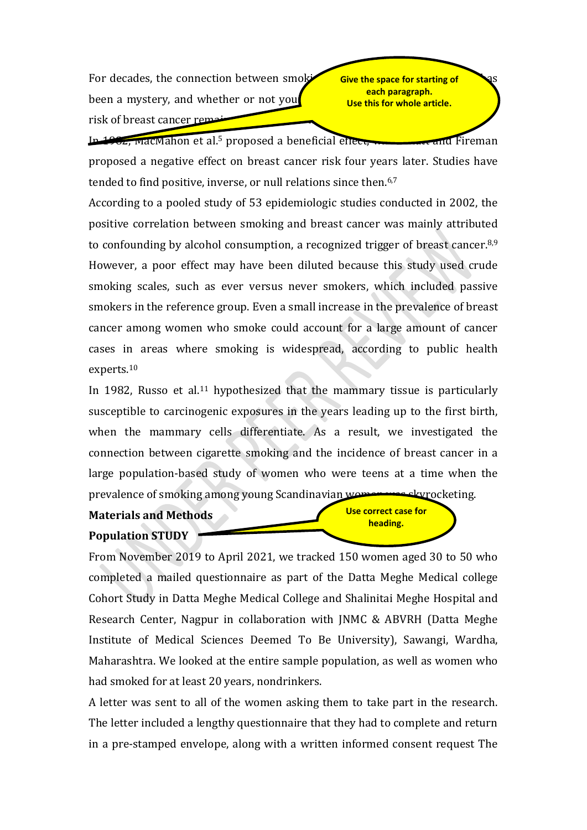For decades, the connection between smok been a mystery, and whether or not you risk of breast cancer rem-

**Give the space for starting of each paragraph. Use this for whole article.**

In  $1962$ , MacMahon et al.<sup>5</sup> proposed a beneficial effect, while the and Fireman proposed a negative effect on breast cancer risk four years later. Studies have tended to find positive, inverse, or null relations since then.<sup>6,7</sup>

According to a pooled study of 53 epidemiologic studies conducted in 2002, the positive correlation between smoking and breast cancer was mainly attributed to confounding by alcohol consumption, a recognized trigger of breast cancer.<sup>8,9</sup> However, a poor effect may have been diluted because this study used crude smoking scales, such as ever versus never smokers, which included passive smokers in the reference group. Even a small increase in the prevalence of breast cancer among women who smoke could account for a large amount of cancer cases in areas where smoking is widespread, according to public health experts.<sup>10</sup>

In 1982, Russo et al.<sup>11</sup> hypothesized that the mammary tissue is particularly susceptible to carcinogenic exposures in the years leading up to the first birth, when the mammary cells differentiate. As a result, we investigated the connection between cigarette smoking and the incidence of breast cancer in a large population-based study of women who were teens at a time when the prevalence of smoking among young Scandinavian women was skyrocketing.

# **Materials and Methods**

**Population STUDY**

**Use correct case for heading.**

From November 2019 to April 2021, we tracked 150 women aged 30 to 50 who completed a mailed questionnaire as part of the Datta Meghe Medical college Cohort Study in Datta Meghe Medical College and Shalinitai Meghe Hospital and Research Center, Nagpur in collaboration with JNMC & ABVRH (Datta Meghe Institute of Medical Sciences Deemed To Be University), Sawangi, Wardha, Maharashtra. We looked at the entire sample population, as well as women who had smoked for at least 20 years, nondrinkers.

A letter was sent to all of the women asking them to take part in the research. The letter included a lengthy questionnaire that they had to complete and return in a pre-stamped envelope, along with a written informed consent request The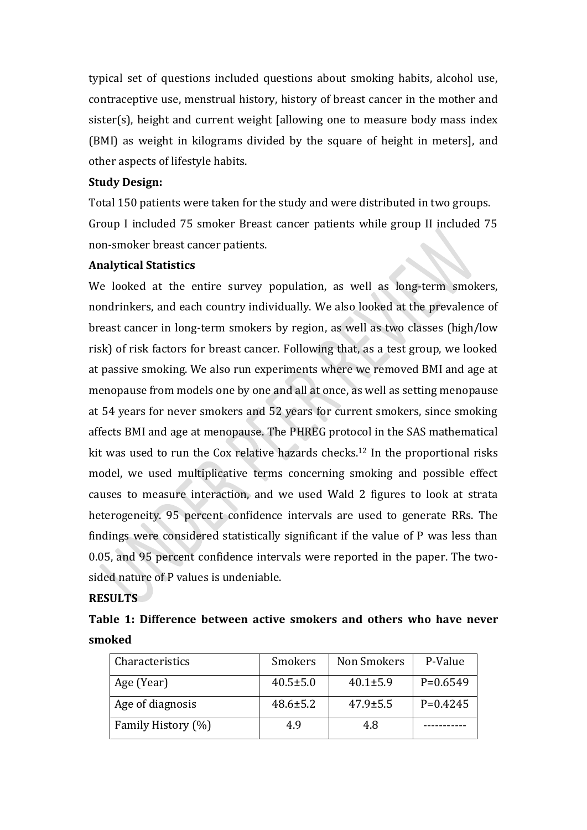typical set of questions included questions about smoking habits, alcohol use, contraceptive use, menstrual history, history of breast cancer in the mother and sister(s), height and current weight [allowing one to measure body mass index (BMI) as weight in kilograms divided by the square of height in meters], and other aspects of lifestyle habits.

# **Study Design:**

Total 150 patients were taken for the study and were distributed in two groups. Group I included 75 smoker Breast cancer patients while group II included 75 non-smoker breast cancer patients.

# **Analytical Statistics**

We looked at the entire survey population, as well as long-term smokers, nondrinkers, and each country individually. We also looked at the prevalence of breast cancer in long-term smokers by region, as well as two classes (high/low risk) of risk factors for breast cancer. Following that, as a test group, we looked at passive smoking. We also run experiments where we removed BMI and age at menopause from models one by one and all at once, as well as setting menopause at 54 years for never smokers and 52 years for current smokers, since smoking affects BMI and age at menopause. The PHREG protocol in the SAS mathematical kit was used to run the Cox relative hazards checks.<sup>12</sup> In the proportional risks model, we used multiplicative terms concerning smoking and possible effect causes to measure interaction, and we used Wald 2 figures to look at strata heterogeneity. 95 percent confidence intervals are used to generate RRs. The findings were considered statistically significant if the value of P was less than 0.05, and 95 percent confidence intervals were reported in the paper. The twosided nature of P values is undeniable.

#### **RESULTS**

| Table 1: Difference between active smokers and others who have never |  |  |  |  |
|----------------------------------------------------------------------|--|--|--|--|
| smoked                                                               |  |  |  |  |

| Characteristics    | <b>Smokers</b> | Non Smokers    | P-Value    |
|--------------------|----------------|----------------|------------|
| Age (Year)         | $40.5 \pm 5.0$ | $40.1 \pm 5.9$ | $P=0.6549$ |
| Age of diagnosis   | $48.6 \pm 5.2$ | $47.9 \pm 5.5$ | $P=0.4245$ |
| Family History (%) | 4.9            | 4.8            |            |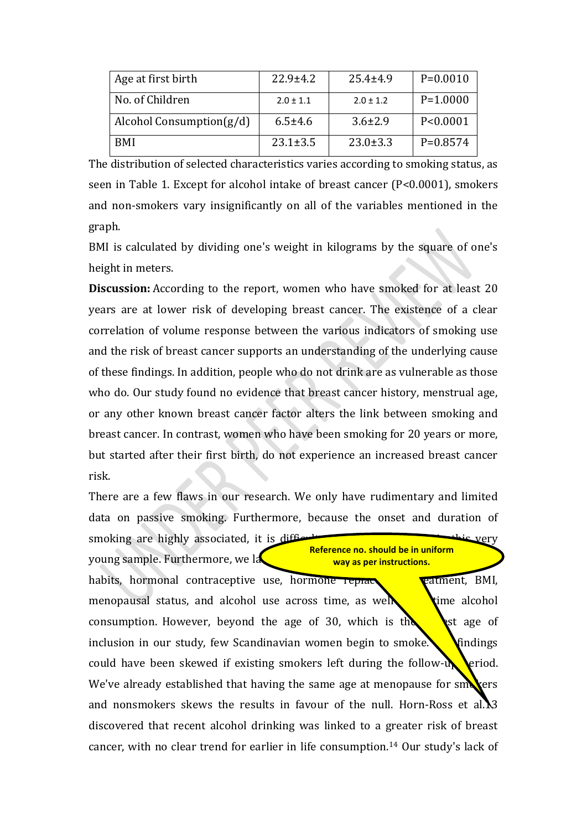| Age at first birth          | $22.9 \pm 4.2$ | $25.4 \pm 4.9$ | $P=0.0010$   |
|-----------------------------|----------------|----------------|--------------|
| No. of Children             | $2.0 \pm 1.1$  | $2.0 \pm 1.2$  | $P = 1.0000$ |
| Alcohol Consumption $(g/d)$ | $6.5 \pm 4.6$  | $3.6 \pm 2.9$  | P < 0.0001   |
| <b>BMI</b>                  | $23.1 \pm 3.5$ | $23.0 \pm 3.3$ | $P=0.8574$   |

The distribution of selected characteristics varies according to smoking status, as seen in Table 1. Except for alcohol intake of breast cancer (P<0.0001), smokers and non-smokers vary insignificantly on all of the variables mentioned in the graph.

BMI is calculated by dividing one's weight in kilograms by the square of one's height in meters.

**Discussion:** According to the report, women who have smoked for at least 20 years are at lower risk of developing breast cancer. The existence of a clear correlation of volume response between the various indicators of smoking use and the risk of breast cancer supports an understanding of the underlying cause of these findings. In addition, people who do not drink are as vulnerable as those who do. Our study found no evidence that breast cancer history, menstrual age, or any other known breast cancer factor alters the link between smoking and breast cancer. In contrast, women who have been smoking for 20 years or more, but started after their first birth, do not experience an increased breast cancer risk.

There are a few flaws in our research. We only have rudimentary and limited data on passive smoking. Furthermore, because the onset and duration of

smoking are highly associated, it is difficult to isolate the effects very young sample. Furthermore, we la habits, hormonal contraceptive use, hormone  $\overline{\text{repace}}$   $\overline{\text{replement}}$ , BMI, menopausal status, and alcohol use across time, as well **t**ime alcohol consumption. However, beyond the age of 30, which is the lost age of inclusion in our study, few Scandinavian women begin to smoke.  $\bigcup$  findings could have been skewed if existing smokers left during the follow- $\mathbf{R}$  eriod. We've already established that having the same age at menopause for smoothly and nonsmokers skews the results in favour of the null. Horn-Ross et al. 13 discovered that recent alcohol drinking was linked to a greater risk of breast cancer, with no clear trend for earlier in life consumption.<sup>14</sup> Our study's lack of **Reference no. should be in uniform way as per instructions.**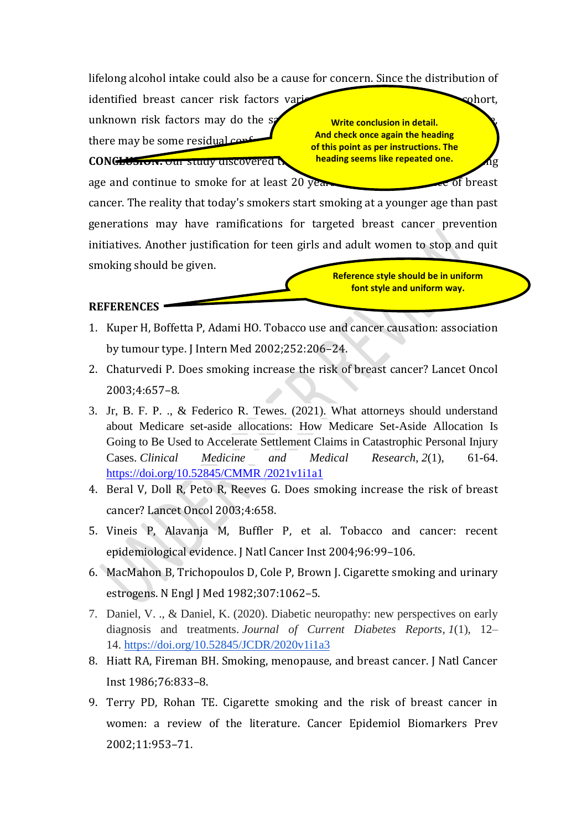lifelong alcohol intake could also be a cause for concern. Since the distribution of

identified breast cancer risk factors varies by smoking status school. unknown risk factors may do the same. there may be some residual c

**CONCLUSION: Our study discovered that when when we are we are when when**  $\mathbf{c}$ 

**Write conclusion in detail. And check once again the heading of this point as per instructions. The heading seems like repeated one.**

> **Reference style should be in uniform font style and uniform way.**

cancer. The reality that today's smokers start smoking at a younger age than past generations may have ramifications for targeted breast cancer prevention initiatives. Another justification for teen girls and adult women to stop and quit smoking should be given.

age and continue to smoke for at least 20 years have a higher chance of breast

# **REFERENCES**

- 1. Kuper H, Boffetta P, Adami HO. Tobacco use and cancer causation: association by tumour type. J Intern Med 2002;252:206–24.
- 2. Chaturvedi P. Does smoking increase the risk of breast cancer? Lancet Oncol 2003;4:657–8.
- 3. Jr, B. F. P. ., & Federico R. Tewes. (2021). What attorneys should understand about Medicare set-aside allocations: How Medicare Set-Aside Allocation Is Going to Be Used to Accelerate Settlement Claims in Catastrophic Personal Injury Cases. *Clinical Medicine and Medical Research*, *2*(1), 61-64. [https://doi.org/10.52845/CMMR /2021v1i1a1](https://doi.org/10.52845/CMMR%20/2021v1i1a1)
- 4. Beral V, Doll R, Peto R, Reeves G. Does smoking increase the risk of breast cancer? Lancet Oncol 2003;4:658.
- 5. Vineis P, Alavanja M, Buffler P, et al. Tobacco and cancer: recent epidemiological evidence. J Natl Cancer Inst 2004;96:99–106.
- 6. MacMahon B, Trichopoulos D, Cole P, Brown J. Cigarette smoking and urinary estrogens. N Engl J Med 1982;307:1062–5.
- 7. Daniel, V. ., & Daniel, K. (2020). Diabetic neuropathy: new perspectives on early diagnosis and treatments. *Journal of Current Diabetes Reports*, *1*(1), 12– 14. <https://doi.org/10.52845/JCDR/2020v1i1a3>
- 8. Hiatt RA, Fireman BH. Smoking, menopause, and breast cancer. J Natl Cancer Inst 1986;76:833–8.
- 9. Terry PD, Rohan TE. Cigarette smoking and the risk of breast cancer in women: a review of the literature. Cancer Epidemiol Biomarkers Prev 2002;11:953–71.